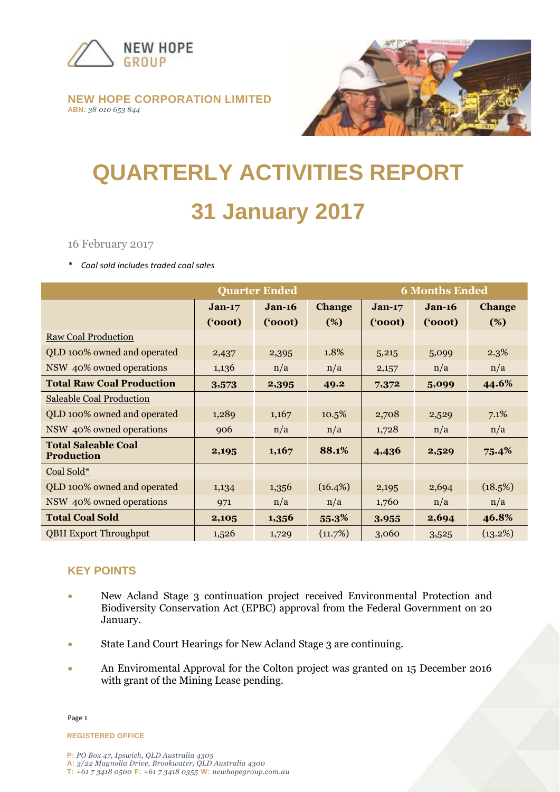

#### **NEW HOPE CORPORATION LIMITED ABN:** *38 010 653 844*



# **QUARTERLY ACTIVITIES REPORT 31 January 2017**

16 February 2017

*\* Coal sold includes traded coal sales*

|                                                 | <b>Quarter Ended</b> |          |               | <b>6 Months Ended</b> |          |               |
|-------------------------------------------------|----------------------|----------|---------------|-----------------------|----------|---------------|
|                                                 | $Jan-17$             | $Jan-16$ | <b>Change</b> | $Jan-17$              | $Jan-16$ | <b>Change</b> |
|                                                 | (5000)               | (600t)   | (%)           | (600t)                | (600t)   | (%)           |
| <b>Raw Coal Production</b>                      |                      |          |               |                       |          |               |
| QLD 100% owned and operated                     | 2,437                | 2,395    | 1.8%          | 5,215                 | 5,099    | 2.3%          |
| NSW 40% owned operations                        | 1,136                | n/a      | n/a           | 2,157                 | n/a      | n/a           |
| <b>Total Raw Coal Production</b>                | 3,573                | 2,395    | 49.2          | 7,372                 | 5,099    | 44.6%         |
| <b>Saleable Coal Production</b>                 |                      |          |               |                       |          |               |
| QLD 100% owned and operated                     | 1,289                | 1,167    | 10.5%         | 2,708                 | 2,529    | 7.1%          |
| NSW 40% owned operations                        | 906                  | n/a      | n/a           | 1,728                 | n/a      | n/a           |
| <b>Total Saleable Coal</b><br><b>Production</b> | 2,195                | 1,167    | 88.1%         | 4,436                 | 2,529    | $75.4\%$      |
| Coal Sold*                                      |                      |          |               |                       |          |               |
| QLD 100% owned and operated                     | 1,134                | 1,356    | $(16.4\%)$    | 2,195                 | 2,694    | (18.5%)       |
| NSW 40% owned operations                        | 971                  | n/a      | n/a           | 1,760                 | n/a      | n/a           |
| <b>Total Coal Sold</b>                          | 2,105                | 1,356    | 55.3%         | 3,955                 | 2,694    | 46.8%         |
| <b>QBH Export Throughput</b>                    | 1,526                | 1,729    | (11.7%)       | 3,060                 | 3,525    | (13.2%)       |

# **KEY POINTS**

- New Acland Stage 3 continuation project received Environmental Protection and Biodiversity Conservation Act (EPBC) approval from the Federal Government on 20 January.
- State Land Court Hearings for New Acland Stage 3 are continuing.
- An Enviromental Approval for the Colton project was granted on 15 December 2016 with grant of the Mining Lease pending.

**REGISTERED OFFICE**

Page 1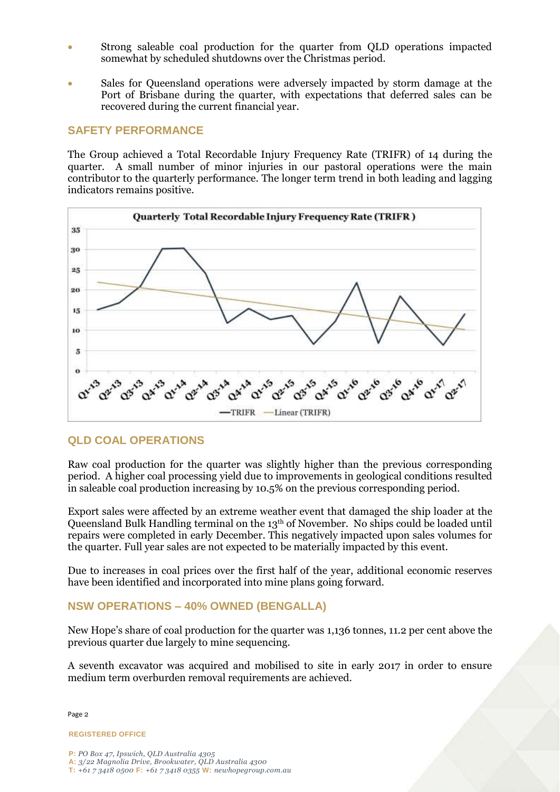- Strong saleable coal production for the quarter from QLD operations impacted somewhat by scheduled shutdowns over the Christmas period.
- Sales for Queensland operations were adversely impacted by storm damage at the Port of Brisbane during the quarter, with expectations that deferred sales can be recovered during the current financial year.

#### **SAFETY PERFORMANCE**

The Group achieved a Total Recordable Injury Frequency Rate (TRIFR) of 14 during the quarter. A small number of minor injuries in our pastoral operations were the main contributor to the quarterly performance. The longer term trend in both leading and lagging indicators remains positive.



#### **QLD COAL OPERATIONS**

Raw coal production for the quarter was slightly higher than the previous corresponding period. A higher coal processing yield due to improvements in geological conditions resulted in saleable coal production increasing by 10.5% on the previous corresponding period.

Export sales were affected by an extreme weather event that damaged the ship loader at the Queensland Bulk Handling terminal on the 13th of November. No ships could be loaded until repairs were completed in early December. This negatively impacted upon sales volumes for the quarter. Full year sales are not expected to be materially impacted by this event.

Due to increases in coal prices over the first half of the year, additional economic reserves have been identified and incorporated into mine plans going forward.

#### **NSW OPERATIONS – 40% OWNED (BENGALLA)**

New Hope's share of coal production for the quarter was 1,136 tonnes, 11.2 per cent above the previous quarter due largely to mine sequencing.

A seventh excavator was acquired and mobilised to site in early 2017 in order to ensure medium term overburden removal requirements are achieved.

Page 2

**REGISTERED OFFICE**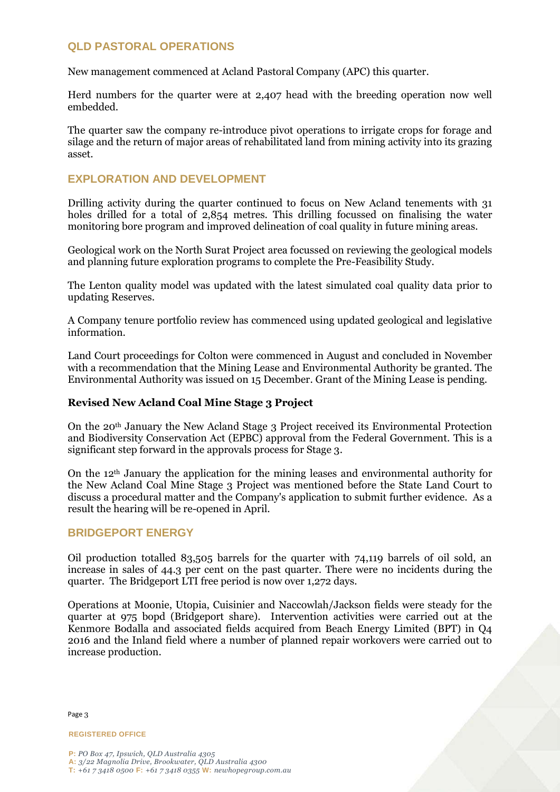### **QLD PASTORAL OPERATIONS**

New management commenced at Acland Pastoral Company (APC) this quarter.

Herd numbers for the quarter were at 2,407 head with the breeding operation now well embedded.

The quarter saw the company re-introduce pivot operations to irrigate crops for forage and silage and the return of major areas of rehabilitated land from mining activity into its grazing asset.

#### **EXPLORATION AND DEVELOPMENT**

Drilling activity during the quarter continued to focus on New Acland tenements with 31 holes drilled for a total of 2,854 metres. This drilling focussed on finalising the water monitoring bore program and improved delineation of coal quality in future mining areas.

Geological work on the North Surat Project area focussed on reviewing the geological models and planning future exploration programs to complete the Pre-Feasibility Study.

The Lenton quality model was updated with the latest simulated coal quality data prior to updating Reserves.

A Company tenure portfolio review has commenced using updated geological and legislative information.

Land Court proceedings for Colton were commenced in August and concluded in November with a recommendation that the Mining Lease and Environmental Authority be granted. The Environmental Authority was issued on 15 December. Grant of the Mining Lease is pending.

#### **Revised New Acland Coal Mine Stage 3 Project**

On the 20th January the New Acland Stage 3 Project received its Environmental Protection and Biodiversity Conservation Act (EPBC) approval from the Federal Government. This is a significant step forward in the approvals process for Stage 3.

On the 12th January the application for the mining leases and environmental authority for the New Acland Coal Mine Stage 3 Project was mentioned before the State Land Court to discuss a procedural matter and the Company's application to submit further evidence. As a result the hearing will be re-opened in April.

#### **BRIDGEPORT ENERGY**

Oil production totalled 83,505 barrels for the quarter with 74,119 barrels of oil sold, an increase in sales of 44.3 per cent on the past quarter. There were no incidents during the quarter. The Bridgeport LTI free period is now over 1,272 days.

Operations at Moonie, Utopia, Cuisinier and Naccowlah/Jackson fields were steady for the quarter at 975 bopd (Bridgeport share). Intervention activities were carried out at the Kenmore Bodalla and associated fields acquired from Beach Energy Limited (BPT) in Q4 2016 and the Inland field where a number of planned repair workovers were carried out to increase production.

Page 3

**REGISTERED OFFICE**